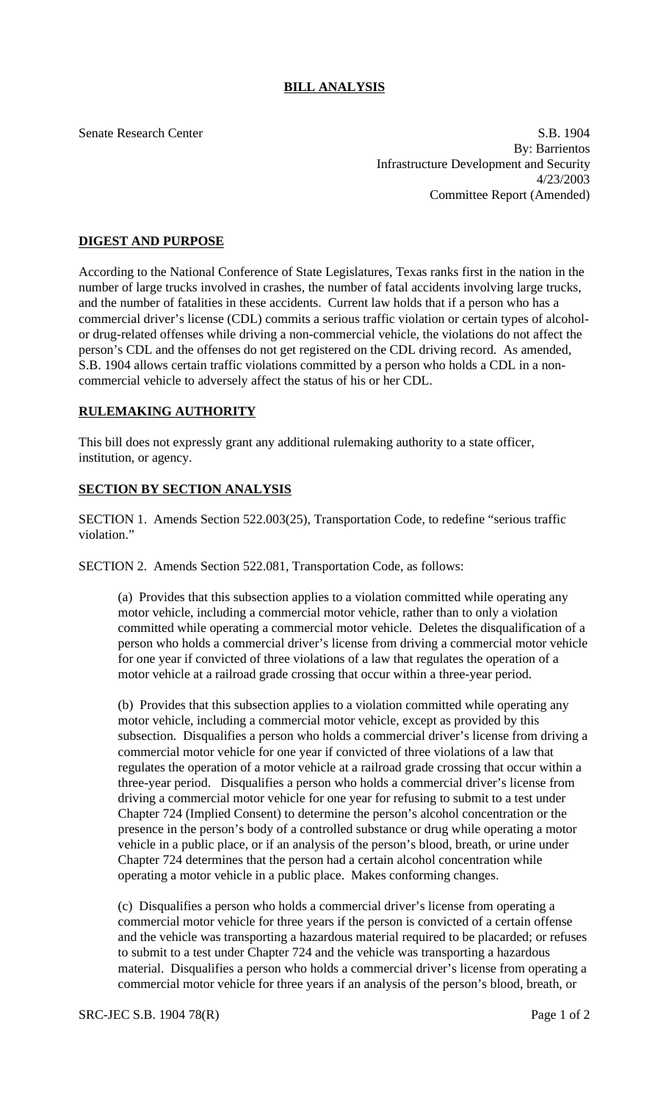Senate Research Center S.B. 1904 By: Barrientos Infrastructure Development and Security 4/23/2003 Committee Report (Amended)

## **DIGEST AND PURPOSE**

According to the National Conference of State Legislatures, Texas ranks first in the nation in the number of large trucks involved in crashes, the number of fatal accidents involving large trucks, and the number of fatalities in these accidents. Current law holds that if a person who has a commercial driver's license (CDL) commits a serious traffic violation or certain types of alcoholor drug-related offenses while driving a non-commercial vehicle, the violations do not affect the person's CDL and the offenses do not get registered on the CDL driving record. As amended, S.B. 1904 allows certain traffic violations committed by a person who holds a CDL in a noncommercial vehicle to adversely affect the status of his or her CDL.

## **RULEMAKING AUTHORITY**

This bill does not expressly grant any additional rulemaking authority to a state officer, institution, or agency.

## **SECTION BY SECTION ANALYSIS**

SECTION 1. Amends Section 522.003(25), Transportation Code, to redefine "serious traffic violation."

SECTION 2. Amends Section 522.081, Transportation Code, as follows:

(a) Provides that this subsection applies to a violation committed while operating any motor vehicle, including a commercial motor vehicle, rather than to only a violation committed while operating a commercial motor vehicle. Deletes the disqualification of a person who holds a commercial driver's license from driving a commercial motor vehicle for one year if convicted of three violations of a law that regulates the operation of a motor vehicle at a railroad grade crossing that occur within a three-year period.

(b) Provides that this subsection applies to a violation committed while operating any motor vehicle, including a commercial motor vehicle, except as provided by this subsection. Disqualifies a person who holds a commercial driver's license from driving a commercial motor vehicle for one year if convicted of three violations of a law that regulates the operation of a motor vehicle at a railroad grade crossing that occur within a three-year period. Disqualifies a person who holds a commercial driver's license from driving a commercial motor vehicle for one year for refusing to submit to a test under Chapter 724 (Implied Consent) to determine the person's alcohol concentration or the presence in the person's body of a controlled substance or drug while operating a motor vehicle in a public place, or if an analysis of the person's blood, breath, or urine under Chapter 724 determines that the person had a certain alcohol concentration while operating a motor vehicle in a public place. Makes conforming changes.

(c) Disqualifies a person who holds a commercial driver's license from operating a commercial motor vehicle for three years if the person is convicted of a certain offense and the vehicle was transporting a hazardous material required to be placarded; or refuses to submit to a test under Chapter 724 and the vehicle was transporting a hazardous material. Disqualifies a person who holds a commercial driver's license from operating a commercial motor vehicle for three years if an analysis of the person's blood, breath, or